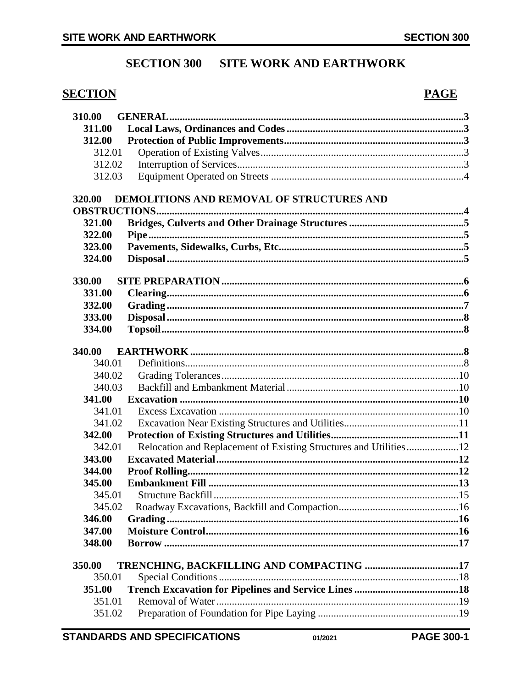# **SECTION 300 SITE WORK AND EARTHWORK**

# **SECTION**

310.00

# **PAGE**

| 311.00 |                                                                   |  |  |  |  |
|--------|-------------------------------------------------------------------|--|--|--|--|
| 312.00 |                                                                   |  |  |  |  |
| 312.01 |                                                                   |  |  |  |  |
| 312.02 |                                                                   |  |  |  |  |
| 312.03 |                                                                   |  |  |  |  |
| 320.00 | DEMOLITIONS AND REMOVAL OF STRUCTURES AND                         |  |  |  |  |
|        |                                                                   |  |  |  |  |
| 321.00 |                                                                   |  |  |  |  |
| 322.00 |                                                                   |  |  |  |  |
| 323.00 |                                                                   |  |  |  |  |
| 324.00 |                                                                   |  |  |  |  |
| 330.00 |                                                                   |  |  |  |  |
| 331.00 |                                                                   |  |  |  |  |
| 332.00 |                                                                   |  |  |  |  |
| 333.00 |                                                                   |  |  |  |  |
| 334.00 |                                                                   |  |  |  |  |
| 340.00 |                                                                   |  |  |  |  |
| 340.01 |                                                                   |  |  |  |  |
| 340.02 |                                                                   |  |  |  |  |
| 340.03 |                                                                   |  |  |  |  |
| 341.00 |                                                                   |  |  |  |  |
| 341.01 |                                                                   |  |  |  |  |
| 341.02 |                                                                   |  |  |  |  |
| 342.00 |                                                                   |  |  |  |  |
| 342.01 | Relocation and Replacement of Existing Structures and Utilities12 |  |  |  |  |
| 343.00 |                                                                   |  |  |  |  |
| 344.00 |                                                                   |  |  |  |  |
| 345.00 |                                                                   |  |  |  |  |
| 345.01 |                                                                   |  |  |  |  |
| 345.02 |                                                                   |  |  |  |  |
| 346.00 |                                                                   |  |  |  |  |
| 347.00 |                                                                   |  |  |  |  |
| 348.00 |                                                                   |  |  |  |  |
| 350.00 |                                                                   |  |  |  |  |
| 350.01 |                                                                   |  |  |  |  |
| 351.00 |                                                                   |  |  |  |  |
| 351.01 |                                                                   |  |  |  |  |
| 351.02 |                                                                   |  |  |  |  |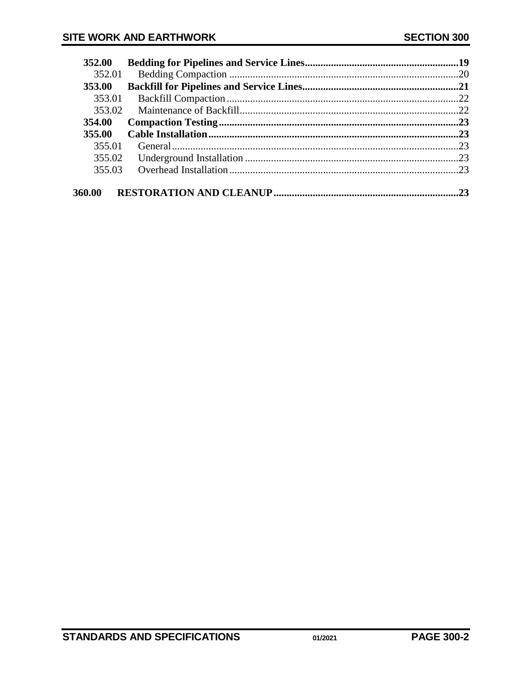| 352.00 |    |
|--------|----|
| 352.01 |    |
| 353.00 |    |
| 353.01 |    |
| 353.02 |    |
| 354.00 |    |
| 355.00 |    |
| 355.01 |    |
| 355.02 |    |
| 355.03 |    |
|        |    |
| 360.00 | 23 |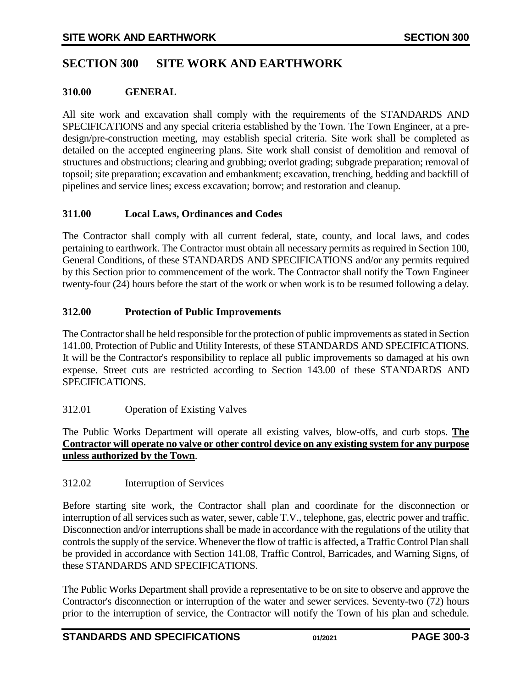# <span id="page-2-0"></span>**SECTION 300 SITE WORK AND EARTHWORK**

#### **310.00 GENERAL**

All site work and excavation shall comply with the requirements of the STANDARDS AND SPECIFICATIONS and any special criteria established by the Town. The Town Engineer, at a predesign/pre-construction meeting, may establish special criteria. Site work shall be completed as detailed on the accepted engineering plans. Site work shall consist of demolition and removal of structures and obstructions; clearing and grubbing; overlot grading; subgrade preparation; removal of topsoil; site preparation; excavation and embankment; excavation, trenching, bedding and backfill of pipelines and service lines; excess excavation; borrow; and restoration and cleanup.

### <span id="page-2-1"></span>**311.00 Local Laws, Ordinances and Codes**

The Contractor shall comply with all current federal, state, county, and local laws, and codes pertaining to earthwork. The Contractor must obtain all necessary permits as required in Section 100, General Conditions, of these STANDARDS AND SPECIFICATIONS and/or any permits required by this Section prior to commencement of the work. The Contractor shall notify the Town Engineer twenty-four (24) hours before the start of the work or when work is to be resumed following a delay.

#### <span id="page-2-2"></span>**312.00 Protection of Public Improvements**

The Contractor shall be held responsible for the protection of public improvements as stated in Section 141.00, Protection of Public and Utility Interests, of these STANDARDS AND SPECIFICATIONS. It will be the Contractor's responsibility to replace all public improvements so damaged at his own expense. Street cuts are restricted according to Section 143.00 of these STANDARDS AND SPECIFICATIONS.

### <span id="page-2-3"></span>312.01 Operation of Existing Valves

The Public Works Department will operate all existing valves, blow-offs, and curb stops. **The Contractor will operate no valve or other control device on any existing system for any purpose unless authorized by the Town**.

#### <span id="page-2-4"></span>312.02 Interruption of Services

Before starting site work, the Contractor shall plan and coordinate for the disconnection or interruption of all services such as water, sewer, cable T.V., telephone, gas, electric power and traffic. Disconnection and/or interruptions shall be made in accordance with the regulations of the utility that controls the supply of the service. Whenever the flow of traffic is affected, a Traffic Control Plan shall be provided in accordance with Section 141.08, Traffic Control, Barricades, and Warning Signs, of these STANDARDS AND SPECIFICATIONS.

The Public Works Department shall provide a representative to be on site to observe and approve the Contractor's disconnection or interruption of the water and sewer services. Seventy-two (72) hours prior to the interruption of service, the Contractor will notify the Town of his plan and schedule.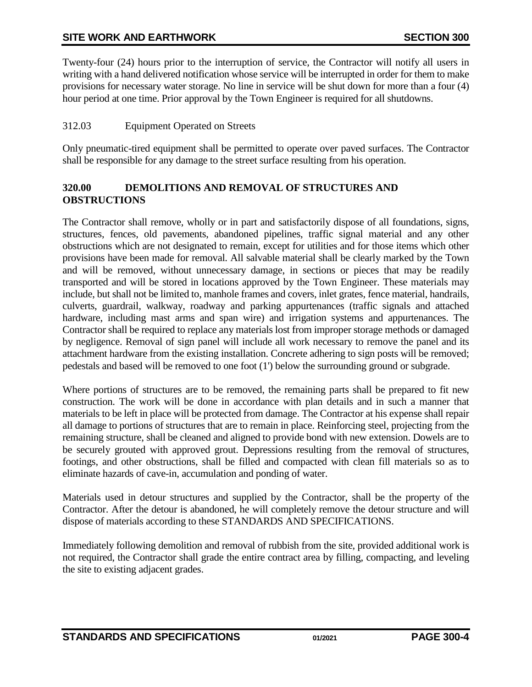Twenty-four (24) hours prior to the interruption of service, the Contractor will notify all users in writing with a hand delivered notification whose service will be interrupted in order for them to make provisions for necessary water storage. No line in service will be shut down for more than a four (4) hour period at one time. Prior approval by the Town Engineer is required for all shutdowns.

## <span id="page-3-0"></span>312.03 Equipment Operated on Streets

Only pneumatic-tired equipment shall be permitted to operate over paved surfaces. The Contractor shall be responsible for any damage to the street surface resulting from his operation.

### <span id="page-3-1"></span>**320.00 DEMOLITIONS AND REMOVAL OF STRUCTURES AND OBSTRUCTIONS**

The Contractor shall remove, wholly or in part and satisfactorily dispose of all foundations, signs, structures, fences, old pavements, abandoned pipelines, traffic signal material and any other obstructions which are not designated to remain, except for utilities and for those items which other provisions have been made for removal. All salvable material shall be clearly marked by the Town and will be removed, without unnecessary damage, in sections or pieces that may be readily transported and will be stored in locations approved by the Town Engineer. These materials may include, but shall not be limited to, manhole frames and covers, inlet grates, fence material, handrails, culverts, guardrail, walkway, roadway and parking appurtenances (traffic signals and attached hardware, including mast arms and span wire) and irrigation systems and appurtenances. The Contractor shall be required to replace any materials lost from improper storage methods or damaged by negligence. Removal of sign panel will include all work necessary to remove the panel and its attachment hardware from the existing installation. Concrete adhering to sign posts will be removed; pedestals and based will be removed to one foot (1') below the surrounding ground or subgrade.

Where portions of structures are to be removed, the remaining parts shall be prepared to fit new construction. The work will be done in accordance with plan details and in such a manner that materials to be left in place will be protected from damage. The Contractor at his expense shall repair all damage to portions of structures that are to remain in place. Reinforcing steel, projecting from the remaining structure, shall be cleaned and aligned to provide bond with new extension. Dowels are to be securely grouted with approved grout. Depressions resulting from the removal of structures, footings, and other obstructions, shall be filled and compacted with clean fill materials so as to eliminate hazards of cave-in, accumulation and ponding of water.

Materials used in detour structures and supplied by the Contractor, shall be the property of the Contractor. After the detour is abandoned, he will completely remove the detour structure and will dispose of materials according to these STANDARDS AND SPECIFICATIONS.

Immediately following demolition and removal of rubbish from the site, provided additional work is not required, the Contractor shall grade the entire contract area by filling, compacting, and leveling the site to existing adjacent grades.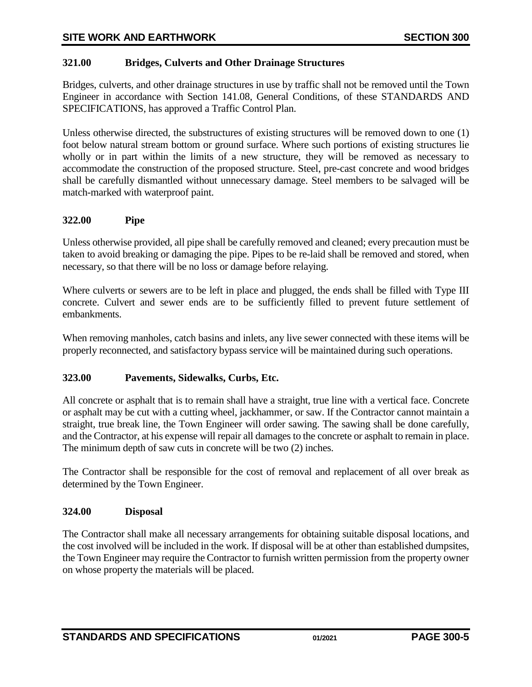## <span id="page-4-0"></span>**321.00 Bridges, Culverts and Other Drainage Structures**

Bridges, culverts, and other drainage structures in use by traffic shall not be removed until the Town Engineer in accordance with Section 141.08, General Conditions, of these STANDARDS AND SPECIFICATIONS, has approved a Traffic Control Plan.

Unless otherwise directed, the substructures of existing structures will be removed down to one (1) foot below natural stream bottom or ground surface. Where such portions of existing structures lie wholly or in part within the limits of a new structure, they will be removed as necessary to accommodate the construction of the proposed structure. Steel, pre-cast concrete and wood bridges shall be carefully dismantled without unnecessary damage. Steel members to be salvaged will be match-marked with waterproof paint.

## <span id="page-4-1"></span>**322.00 Pipe**

Unless otherwise provided, all pipe shall be carefully removed and cleaned; every precaution must be taken to avoid breaking or damaging the pipe. Pipes to be re-laid shall be removed and stored, when necessary, so that there will be no loss or damage before relaying.

Where culverts or sewers are to be left in place and plugged, the ends shall be filled with Type III concrete. Culvert and sewer ends are to be sufficiently filled to prevent future settlement of embankments.

When removing manholes, catch basins and inlets, any live sewer connected with these items will be properly reconnected, and satisfactory bypass service will be maintained during such operations.

### <span id="page-4-2"></span>**323.00 Pavements, Sidewalks, Curbs, Etc.**

All concrete or asphalt that is to remain shall have a straight, true line with a vertical face. Concrete or asphalt may be cut with a cutting wheel, jackhammer, or saw. If the Contractor cannot maintain a straight, true break line, the Town Engineer will order sawing. The sawing shall be done carefully, and the Contractor, at his expense will repair all damages to the concrete or asphalt to remain in place. The minimum depth of saw cuts in concrete will be two (2) inches.

The Contractor shall be responsible for the cost of removal and replacement of all over break as determined by the Town Engineer.

## <span id="page-4-3"></span>**324.00 Disposal**

The Contractor shall make all necessary arrangements for obtaining suitable disposal locations, and the cost involved will be included in the work. If disposal will be at other than established dumpsites, the Town Engineer may require the Contractor to furnish written permission from the property owner on whose property the materials will be placed.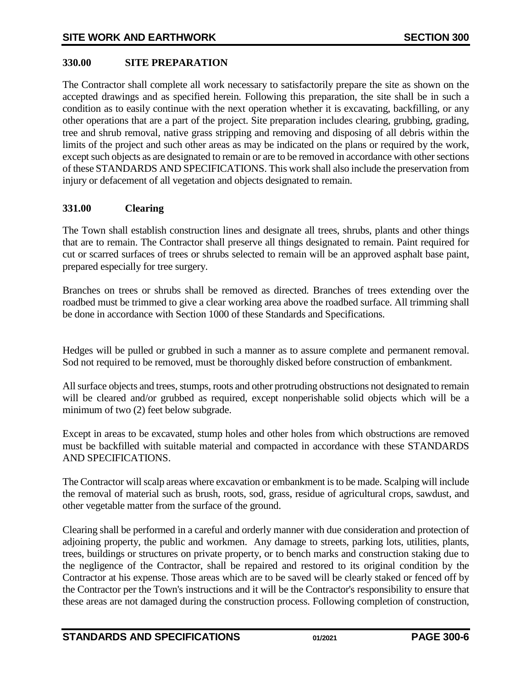## <span id="page-5-0"></span>**330.00 SITE PREPARATION**

The Contractor shall complete all work necessary to satisfactorily prepare the site as shown on the accepted drawings and as specified herein. Following this preparation, the site shall be in such a condition as to easily continue with the next operation whether it is excavating, backfilling, or any other operations that are a part of the project. Site preparation includes clearing, grubbing, grading, tree and shrub removal, native grass stripping and removing and disposing of all debris within the limits of the project and such other areas as may be indicated on the plans or required by the work, except such objects as are designated to remain or are to be removed in accordance with other sections of these STANDARDS AND SPECIFICATIONS. This work shall also include the preservation from injury or defacement of all vegetation and objects designated to remain.

#### <span id="page-5-1"></span>**331.00 Clearing**

The Town shall establish construction lines and designate all trees, shrubs, plants and other things that are to remain. The Contractor shall preserve all things designated to remain. Paint required for cut or scarred surfaces of trees or shrubs selected to remain will be an approved asphalt base paint, prepared especially for tree surgery.

Branches on trees or shrubs shall be removed as directed. Branches of trees extending over the roadbed must be trimmed to give a clear working area above the roadbed surface. All trimming shall be done in accordance with Section 1000 of these Standards and Specifications.

Hedges will be pulled or grubbed in such a manner as to assure complete and permanent removal. Sod not required to be removed, must be thoroughly disked before construction of embankment.

All surface objects and trees, stumps, roots and other protruding obstructions not designated to remain will be cleared and/or grubbed as required, except nonperishable solid objects which will be a minimum of two (2) feet below subgrade.

Except in areas to be excavated, stump holes and other holes from which obstructions are removed must be backfilled with suitable material and compacted in accordance with these STANDARDS AND SPECIFICATIONS.

The Contractor will scalp areas where excavation or embankment is to be made. Scalping will include the removal of material such as brush, roots, sod, grass, residue of agricultural crops, sawdust, and other vegetable matter from the surface of the ground.

Clearing shall be performed in a careful and orderly manner with due consideration and protection of adjoining property, the public and workmen. Any damage to streets, parking lots, utilities, plants, trees, buildings or structures on private property, or to bench marks and construction staking due to the negligence of the Contractor, shall be repaired and restored to its original condition by the Contractor at his expense. Those areas which are to be saved will be clearly staked or fenced off by the Contractor per the Town's instructions and it will be the Contractor's responsibility to ensure that these areas are not damaged during the construction process. Following completion of construction,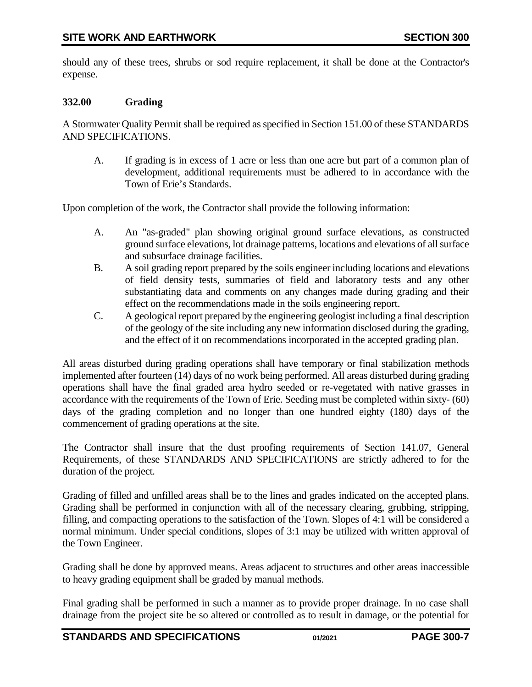should any of these trees, shrubs or sod require replacement, it shall be done at the Contractor's expense.

## <span id="page-6-0"></span>**332.00 Grading**

A Stormwater Quality Permit shall be required as specified in Section 151.00 of these STANDARDS AND SPECIFICATIONS.

A. If grading is in excess of 1 acre or less than one acre but part of a common plan of development, additional requirements must be adhered to in accordance with the Town of Erie's Standards.

Upon completion of the work, the Contractor shall provide the following information:

- A. An "as-graded" plan showing original ground surface elevations, as constructed ground surface elevations, lot drainage patterns, locations and elevations of all surface and subsurface drainage facilities.
- B. A soil grading report prepared by the soils engineer including locations and elevations of field density tests, summaries of field and laboratory tests and any other substantiating data and comments on any changes made during grading and their effect on the recommendations made in the soils engineering report.
- C. A geological report prepared by the engineering geologist including a final description of the geology of the site including any new information disclosed during the grading, and the effect of it on recommendations incorporated in the accepted grading plan.

All areas disturbed during grading operations shall have temporary or final stabilization methods implemented after fourteen (14) days of no work being performed. All areas disturbed during grading operations shall have the final graded area hydro seeded or re-vegetated with native grasses in accordance with the requirements of the Town of Erie. Seeding must be completed within sixty- (60) days of the grading completion and no longer than one hundred eighty (180) days of the commencement of grading operations at the site.

The Contractor shall insure that the dust proofing requirements of Section 141.07, General Requirements, of these STANDARDS AND SPECIFICATIONS are strictly adhered to for the duration of the project.

Grading of filled and unfilled areas shall be to the lines and grades indicated on the accepted plans. Grading shall be performed in conjunction with all of the necessary clearing, grubbing, stripping, filling, and compacting operations to the satisfaction of the Town. Slopes of 4:1 will be considered a normal minimum. Under special conditions, slopes of 3:1 may be utilized with written approval of the Town Engineer.

Grading shall be done by approved means. Areas adjacent to structures and other areas inaccessible to heavy grading equipment shall be graded by manual methods.

Final grading shall be performed in such a manner as to provide proper drainage. In no case shall drainage from the project site be so altered or controlled as to result in damage, or the potential for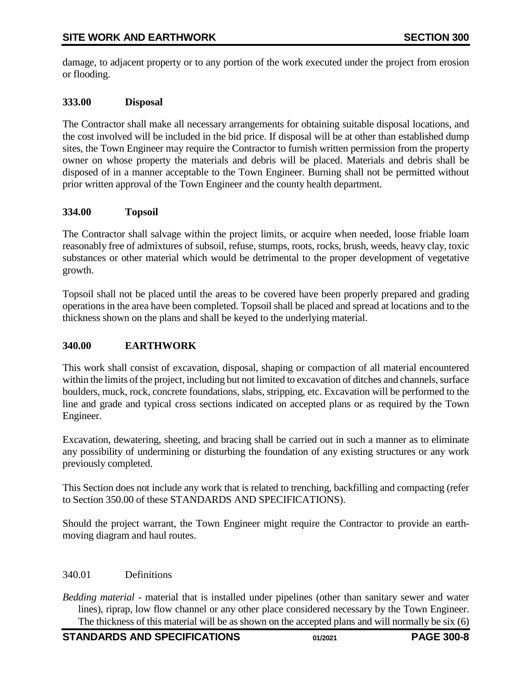damage, to adjacent property or to any portion of the work executed under the project from erosion or flooding.

## <span id="page-7-0"></span>**333.00 Disposal**

The Contractor shall make all necessary arrangements for obtaining suitable disposal locations, and the cost involved will be included in the bid price. If disposal will be at other than established dump sites, the Town Engineer may require the Contractor to furnish written permission from the property owner on whose property the materials and debris will be placed. Materials and debris shall be disposed of in a manner acceptable to the Town Engineer. Burning shall not be permitted without prior written approval of the Town Engineer and the county health department.

### <span id="page-7-1"></span>**334.00 Topsoil**

The Contractor shall salvage within the project limits, or acquire when needed, loose friable loam reasonably free of admixtures of subsoil, refuse, stumps, roots, rocks, brush, weeds, heavy clay, toxic substances or other material which would be detrimental to the proper development of vegetative growth.

Topsoil shall not be placed until the areas to be covered have been properly prepared and grading operations in the area have been completed. Topsoil shall be placed and spread at locations and to the thickness shown on the plans and shall be keyed to the underlying material.

### <span id="page-7-2"></span>**340.00 EARTHWORK**

This work shall consist of excavation, disposal, shaping or compaction of all material encountered within the limits of the project, including but not limited to excavation of ditches and channels, surface boulders, muck, rock, concrete foundations, slabs, stripping, etc. Excavation will be performed to the line and grade and typical cross sections indicated on accepted plans or as required by the Town Engineer.

Excavation, dewatering, sheeting, and bracing shall be carried out in such a manner as to eliminate any possibility of undermining or disturbing the foundation of any existing structures or any work previously completed.

This Section does not include any work that is related to trenching, backfilling and compacting (refer to Section 350.00 of these STANDARDS AND SPECIFICATIONS).

Should the project warrant, the Town Engineer might require the Contractor to provide an earthmoving diagram and haul routes.

#### <span id="page-7-3"></span>340.01 Definitions

*Bedding material* - material that is installed under pipelines (other than sanitary sewer and water lines), riprap, low flow channel or any other place considered necessary by the Town Engineer. The thickness of this material will be as shown on the accepted plans and will normally be six (6)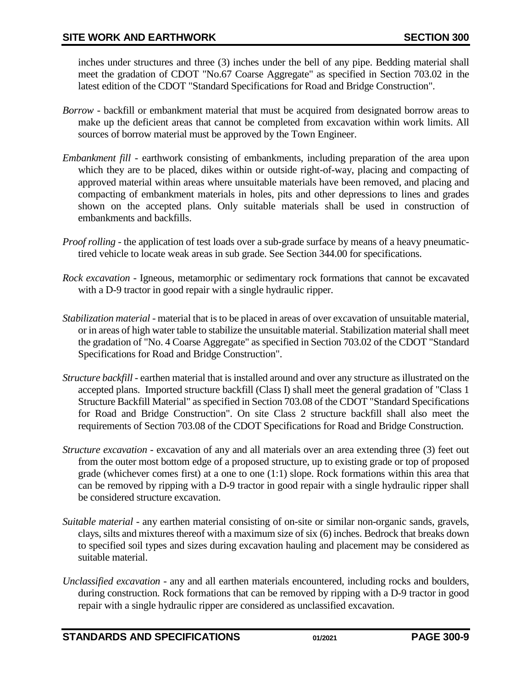inches under structures and three (3) inches under the bell of any pipe. Bedding material shall meet the gradation of CDOT "No.67 Coarse Aggregate" as specified in Section 703.02 in the latest edition of the CDOT "Standard Specifications for Road and Bridge Construction".

- *Borrow*  backfill or embankment material that must be acquired from designated borrow areas to make up the deficient areas that cannot be completed from excavation within work limits. All sources of borrow material must be approved by the Town Engineer.
- *Embankment fill* earthwork consisting of embankments, including preparation of the area upon which they are to be placed, dikes within or outside right-of-way, placing and compacting of approved material within areas where unsuitable materials have been removed, and placing and compacting of embankment materials in holes, pits and other depressions to lines and grades shown on the accepted plans. Only suitable materials shall be used in construction of embankments and backfills.
- *Proof rolling* the application of test loads over a sub-grade surface by means of a heavy pneumatictired vehicle to locate weak areas in sub grade. See Section 344.00 for specifications.
- *Rock excavation* Igneous, metamorphic or sedimentary rock formations that cannot be excavated with a D-9 tractor in good repair with a single hydraulic ripper.
- *Stabilization material* material that is to be placed in areas of over excavation of unsuitable material, or in areas of high water table to stabilize the unsuitable material. Stabilization material shall meet the gradation of "No. 4 Coarse Aggregate" as specified in Section 703.02 of the CDOT "Standard Specifications for Road and Bridge Construction".
- *Structure backfill* earthen material that is installed around and over any structure as illustrated on the accepted plans. Imported structure backfill (Class I) shall meet the general gradation of "Class 1 Structure Backfill Material" as specified in Section 703.08 of the CDOT "Standard Specifications for Road and Bridge Construction". On site Class 2 structure backfill shall also meet the requirements of Section 703.08 of the CDOT Specifications for Road and Bridge Construction.
- *Structure excavation* excavation of any and all materials over an area extending three (3) feet out from the outer most bottom edge of a proposed structure, up to existing grade or top of proposed grade (whichever comes first) at a one to one (1:1) slope. Rock formations within this area that can be removed by ripping with a D-9 tractor in good repair with a single hydraulic ripper shall be considered structure excavation.
- *Suitable material* any earthen material consisting of on-site or similar non-organic sands, gravels, clays, silts and mixtures thereof with a maximum size of six (6) inches. Bedrock that breaks down to specified soil types and sizes during excavation hauling and placement may be considered as suitable material.
- *Unclassified excavation* any and all earthen materials encountered, including rocks and boulders, during construction. Rock formations that can be removed by ripping with a D-9 tractor in good repair with a single hydraulic ripper are considered as unclassified excavation.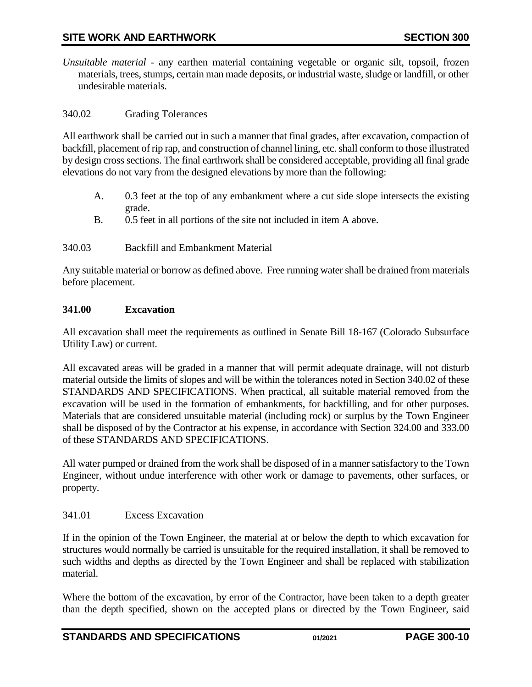*Unsuitable material* - any earthen material containing vegetable or organic silt, topsoil, frozen materials, trees, stumps, certain man made deposits, or industrial waste, sludge or landfill, or other undesirable materials.

#### <span id="page-9-0"></span>340.02 Grading Tolerances

All earthwork shall be carried out in such a manner that final grades, after excavation, compaction of backfill, placement of rip rap, and construction of channel lining, etc. shall conform to those illustrated by design cross sections. The final earthwork shall be considered acceptable, providing all final grade elevations do not vary from the designed elevations by more than the following:

- A. 0.3 feet at the top of any embankment where a cut side slope intersects the existing grade.
- B. 0.5 feet in all portions of the site not included in item A above.

#### <span id="page-9-1"></span>340.03 Backfill and Embankment Material

Any suitable material or borrow as defined above. Free running water shall be drained from materials before placement.

#### <span id="page-9-2"></span>**341.00 Excavation**

All excavation shall meet the requirements as outlined in Senate Bill 18-167 (Colorado Subsurface Utility Law) or current.

All excavated areas will be graded in a manner that will permit adequate drainage, will not disturb material outside the limits of slopes and will be within the tolerances noted in Section 340.02 of these STANDARDS AND SPECIFICATIONS. When practical, all suitable material removed from the excavation will be used in the formation of embankments, for backfilling, and for other purposes. Materials that are considered unsuitable material (including rock) or surplus by the Town Engineer shall be disposed of by the Contractor at his expense, in accordance with Section 324.00 and 333.00 of these STANDARDS AND SPECIFICATIONS.

All water pumped or drained from the work shall be disposed of in a manner satisfactory to the Town Engineer, without undue interference with other work or damage to pavements, other surfaces, or property.

#### <span id="page-9-3"></span>341.01 Excess Excavation

If in the opinion of the Town Engineer, the material at or below the depth to which excavation for structures would normally be carried is unsuitable for the required installation, it shall be removed to such widths and depths as directed by the Town Engineer and shall be replaced with stabilization material.

Where the bottom of the excavation, by error of the Contractor, have been taken to a depth greater than the depth specified, shown on the accepted plans or directed by the Town Engineer, said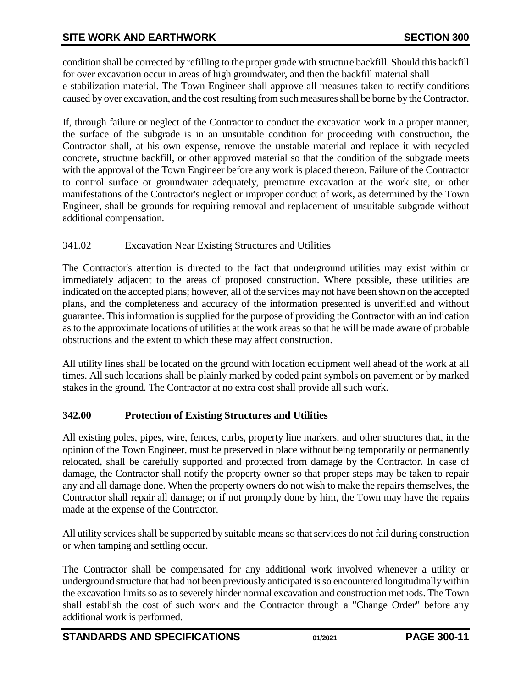condition shall be corrected by refilling to the proper grade with structure backfill. Should this backfill for over excavation occur in areas of high groundwater, and then the backfill material shall e stabilization material. The Town Engineer shall approve all measures taken to rectify conditions caused by over excavation, and the cost resulting from such measures shall be borne by the Contractor.

If, through failure or neglect of the Contractor to conduct the excavation work in a proper manner, the surface of the subgrade is in an unsuitable condition for proceeding with construction, the Contractor shall, at his own expense, remove the unstable material and replace it with recycled concrete, structure backfill, or other approved material so that the condition of the subgrade meets with the approval of the Town Engineer before any work is placed thereon. Failure of the Contractor to control surface or groundwater adequately, premature excavation at the work site, or other manifestations of the Contractor's neglect or improper conduct of work, as determined by the Town Engineer, shall be grounds for requiring removal and replacement of unsuitable subgrade without additional compensation.

# <span id="page-10-0"></span>341.02 Excavation Near Existing Structures and Utilities

The Contractor's attention is directed to the fact that underground utilities may exist within or immediately adjacent to the areas of proposed construction. Where possible, these utilities are indicated on the accepted plans; however, all of the services may not have been shown on the accepted plans, and the completeness and accuracy of the information presented is unverified and without guarantee. This information is supplied for the purpose of providing the Contractor with an indication as to the approximate locations of utilities at the work areas so that he will be made aware of probable obstructions and the extent to which these may affect construction.

All utility lines shall be located on the ground with location equipment well ahead of the work at all times. All such locations shall be plainly marked by coded paint symbols on pavement or by marked stakes in the ground. The Contractor at no extra cost shall provide all such work.

# <span id="page-10-1"></span>**342.00 Protection of Existing Structures and Utilities**

All existing poles, pipes, wire, fences, curbs, property line markers, and other structures that, in the opinion of the Town Engineer, must be preserved in place without being temporarily or permanently relocated, shall be carefully supported and protected from damage by the Contractor. In case of damage, the Contractor shall notify the property owner so that proper steps may be taken to repair any and all damage done. When the property owners do not wish to make the repairs themselves, the Contractor shall repair all damage; or if not promptly done by him, the Town may have the repairs made at the expense of the Contractor.

All utility services shall be supported by suitable means so that services do not fail during construction or when tamping and settling occur.

The Contractor shall be compensated for any additional work involved whenever a utility or underground structure that had not been previously anticipated is so encountered longitudinally within the excavation limits so as to severely hinder normal excavation and construction methods. The Town shall establish the cost of such work and the Contractor through a "Change Order" before any additional work is performed.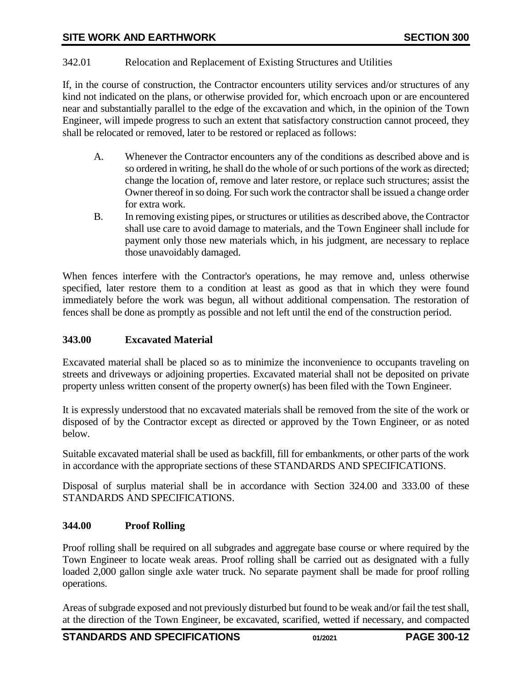## <span id="page-11-0"></span>342.01 Relocation and Replacement of Existing Structures and Utilities

If, in the course of construction, the Contractor encounters utility services and/or structures of any kind not indicated on the plans, or otherwise provided for, which encroach upon or are encountered near and substantially parallel to the edge of the excavation and which, in the opinion of the Town Engineer, will impede progress to such an extent that satisfactory construction cannot proceed, they shall be relocated or removed, later to be restored or replaced as follows:

- A. Whenever the Contractor encounters any of the conditions as described above and is so ordered in writing, he shall do the whole of or such portions of the work as directed; change the location of, remove and later restore, or replace such structures; assist the Owner thereof in so doing. For such work the contractor shall be issued a change order for extra work.
- B. In removing existing pipes, or structures or utilities as described above, the Contractor shall use care to avoid damage to materials, and the Town Engineer shall include for payment only those new materials which, in his judgment, are necessary to replace those unavoidably damaged.

When fences interfere with the Contractor's operations, he may remove and, unless otherwise specified, later restore them to a condition at least as good as that in which they were found immediately before the work was begun, all without additional compensation. The restoration of fences shall be done as promptly as possible and not left until the end of the construction period.

#### <span id="page-11-1"></span>**343.00 Excavated Material**

Excavated material shall be placed so as to minimize the inconvenience to occupants traveling on streets and driveways or adjoining properties. Excavated material shall not be deposited on private property unless written consent of the property owner(s) has been filed with the Town Engineer.

It is expressly understood that no excavated materials shall be removed from the site of the work or disposed of by the Contractor except as directed or approved by the Town Engineer, or as noted below.

Suitable excavated material shall be used as backfill, fill for embankments, or other parts of the work in accordance with the appropriate sections of these STANDARDS AND SPECIFICATIONS.

Disposal of surplus material shall be in accordance with Section 324.00 and 333.00 of these STANDARDS AND SPECIFICATIONS.

### <span id="page-11-2"></span>**344.00 Proof Rolling**

Proof rolling shall be required on all subgrades and aggregate base course or where required by the Town Engineer to locate weak areas. Proof rolling shall be carried out as designated with a fully loaded 2,000 gallon single axle water truck. No separate payment shall be made for proof rolling operations.

Areas of subgrade exposed and not previously disturbed but found to be weak and/or fail the test shall, at the direction of the Town Engineer, be excavated, scarified, wetted if necessary, and compacted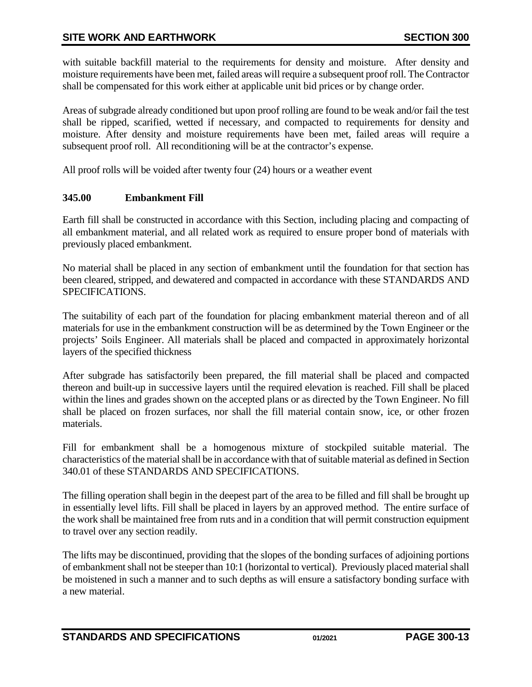with suitable backfill material to the requirements for density and moisture. After density and moisture requirements have been met, failed areas will require a subsequent proof roll. The Contractor shall be compensated for this work either at applicable unit bid prices or by change order.

Areas of subgrade already conditioned but upon proof rolling are found to be weak and/or fail the test shall be ripped, scarified, wetted if necessary, and compacted to requirements for density and moisture. After density and moisture requirements have been met, failed areas will require a subsequent proof roll. All reconditioning will be at the contractor's expense.

<span id="page-12-0"></span>All proof rolls will be voided after twenty four (24) hours or a weather event

# **345.00 Embankment Fill**

Earth fill shall be constructed in accordance with this Section, including placing and compacting of all embankment material, and all related work as required to ensure proper bond of materials with previously placed embankment.

No material shall be placed in any section of embankment until the foundation for that section has been cleared, stripped, and dewatered and compacted in accordance with these STANDARDS AND SPECIFICATIONS.

The suitability of each part of the foundation for placing embankment material thereon and of all materials for use in the embankment construction will be as determined by the Town Engineer or the projects' Soils Engineer. All materials shall be placed and compacted in approximately horizontal layers of the specified thickness

After subgrade has satisfactorily been prepared, the fill material shall be placed and compacted thereon and built-up in successive layers until the required elevation is reached. Fill shall be placed within the lines and grades shown on the accepted plans or as directed by the Town Engineer. No fill shall be placed on frozen surfaces, nor shall the fill material contain snow, ice, or other frozen materials.

Fill for embankment shall be a homogenous mixture of stockpiled suitable material. The characteristics of the material shall be in accordance with that of suitable material as defined in Section 340.01 of these STANDARDS AND SPECIFICATIONS.

The filling operation shall begin in the deepest part of the area to be filled and fill shall be brought up in essentially level lifts. Fill shall be placed in layers by an approved method. The entire surface of the work shall be maintained free from ruts and in a condition that will permit construction equipment to travel over any section readily.

The lifts may be discontinued, providing that the slopes of the bonding surfaces of adjoining portions of embankment shall not be steeper than 10:1 (horizontal to vertical). Previously placed material shall be moistened in such a manner and to such depths as will ensure a satisfactory bonding surface with a new material.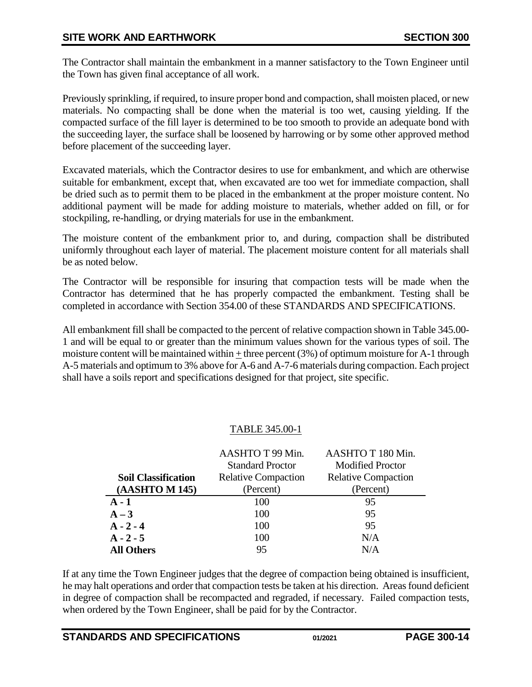The Contractor shall maintain the embankment in a manner satisfactory to the Town Engineer until the Town has given final acceptance of all work.

Previously sprinkling, if required, to insure proper bond and compaction, shall moisten placed, or new materials. No compacting shall be done when the material is too wet, causing yielding. If the compacted surface of the fill layer is determined to be too smooth to provide an adequate bond with the succeeding layer, the surface shall be loosened by harrowing or by some other approved method before placement of the succeeding layer.

Excavated materials, which the Contractor desires to use for embankment, and which are otherwise suitable for embankment, except that, when excavated are too wet for immediate compaction, shall be dried such as to permit them to be placed in the embankment at the proper moisture content. No additional payment will be made for adding moisture to materials, whether added on fill, or for stockpiling, re-handling, or drying materials for use in the embankment.

The moisture content of the embankment prior to, and during, compaction shall be distributed uniformly throughout each layer of material. The placement moisture content for all materials shall be as noted below.

The Contractor will be responsible for insuring that compaction tests will be made when the Contractor has determined that he has properly compacted the embankment. Testing shall be completed in accordance with Section 354.00 of these STANDARDS AND SPECIFICATIONS.

All embankment fill shall be compacted to the percent of relative compaction shown in Table 345.00- 1 and will be equal to or greater than the minimum values shown for the various types of soil. The moisture content will be maintained within + three percent (3%) of optimum moisture for A-1 through A-5 materials and optimum to 3% above for A-6 and A-7-6 materials during compaction. Each project shall have a soils report and specifications designed for that project, site specific.

### TABLE 345.00-1

|                            | AASHTO T 99 Min.           | AASHTO T 180 Min.          |
|----------------------------|----------------------------|----------------------------|
|                            | <b>Standard Proctor</b>    | <b>Modified Proctor</b>    |
| <b>Soil Classification</b> | <b>Relative Compaction</b> | <b>Relative Compaction</b> |
| (AASHTO M 145)             | (Percent)                  | (Percent)                  |
| $A - 1$                    | 100                        | 95                         |
| $A-3$                      | 100                        | 95                         |
| $A - 2 - 4$                | 100                        | 95                         |
| $A - 2 - 5$                | 100                        | N/A                        |
| <b>All Others</b>          | 95                         | N/A                        |

If at any time the Town Engineer judges that the degree of compaction being obtained is insufficient, he may halt operations and order that compaction tests be taken at his direction. Areas found deficient in degree of compaction shall be recompacted and regraded, if necessary. Failed compaction tests, when ordered by the Town Engineer, shall be paid for by the Contractor.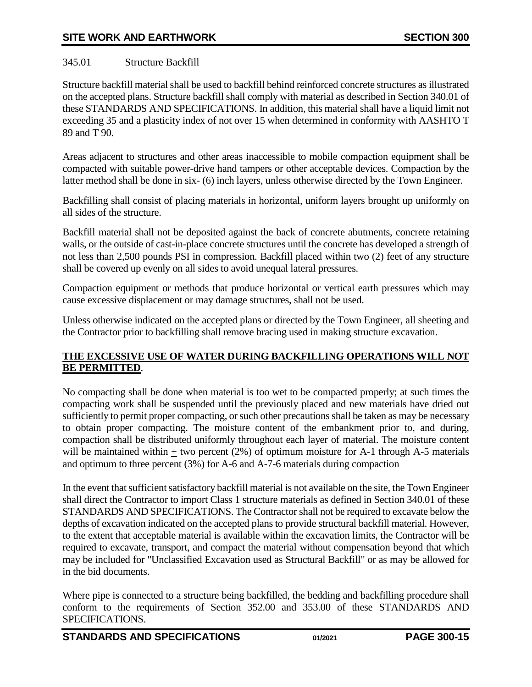## <span id="page-14-0"></span>345.01 Structure Backfill

Structure backfill material shall be used to backfill behind reinforced concrete structures as illustrated on the accepted plans. Structure backfill shall comply with material as described in Section 340.01 of these STANDARDS AND SPECIFICATIONS. In addition, this material shall have a liquid limit not exceeding 35 and a plasticity index of not over 15 when determined in conformity with AASHTO T 89 and T 90.

Areas adjacent to structures and other areas inaccessible to mobile compaction equipment shall be compacted with suitable power-drive hand tampers or other acceptable devices. Compaction by the latter method shall be done in six- (6) inch layers, unless otherwise directed by the Town Engineer.

Backfilling shall consist of placing materials in horizontal, uniform layers brought up uniformly on all sides of the structure.

Backfill material shall not be deposited against the back of concrete abutments, concrete retaining walls, or the outside of cast-in-place concrete structures until the concrete has developed a strength of not less than 2,500 pounds PSI in compression. Backfill placed within two (2) feet of any structure shall be covered up evenly on all sides to avoid unequal lateral pressures.

Compaction equipment or methods that produce horizontal or vertical earth pressures which may cause excessive displacement or may damage structures, shall not be used.

Unless otherwise indicated on the accepted plans or directed by the Town Engineer, all sheeting and the Contractor prior to backfilling shall remove bracing used in making structure excavation.

## **THE EXCESSIVE USE OF WATER DURING BACKFILLING OPERATIONS WILL NOT BE PERMITTED**.

No compacting shall be done when material is too wet to be compacted properly; at such times the compacting work shall be suspended until the previously placed and new materials have dried out sufficiently to permit proper compacting, or such other precautions shall be taken as may be necessary to obtain proper compacting. The moisture content of the embankment prior to, and during, compaction shall be distributed uniformly throughout each layer of material. The moisture content will be maintained within  $\pm$  two percent (2%) of optimum moisture for A-1 through A-5 materials and optimum to three percent (3%) for A-6 and A-7-6 materials during compaction

In the event that sufficient satisfactory backfill material is not available on the site, the Town Engineer shall direct the Contractor to import Class 1 structure materials as defined in Section 340.01 of these STANDARDS AND SPECIFICATIONS. The Contractor shall not be required to excavate below the depths of excavation indicated on the accepted plans to provide structural backfill material. However, to the extent that acceptable material is available within the excavation limits, the Contractor will be required to excavate, transport, and compact the material without compensation beyond that which may be included for "Unclassified Excavation used as Structural Backfill" or as may be allowed for in the bid documents.

Where pipe is connected to a structure being backfilled, the bedding and backfilling procedure shall conform to the requirements of Section 352.00 and 353.00 of these STANDARDS AND SPECIFICATIONS.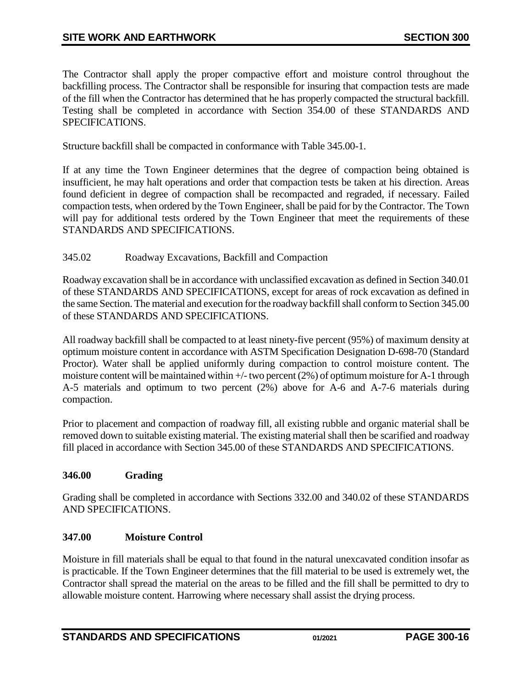The Contractor shall apply the proper compactive effort and moisture control throughout the backfilling process. The Contractor shall be responsible for insuring that compaction tests are made of the fill when the Contractor has determined that he has properly compacted the structural backfill. Testing shall be completed in accordance with Section 354.00 of these STANDARDS AND SPECIFICATIONS.

Structure backfill shall be compacted in conformance with Table 345.00-1.

If at any time the Town Engineer determines that the degree of compaction being obtained is insufficient, he may halt operations and order that compaction tests be taken at his direction. Areas found deficient in degree of compaction shall be recompacted and regraded, if necessary. Failed compaction tests, when ordered by the Town Engineer, shall be paid for by the Contractor. The Town will pay for additional tests ordered by the Town Engineer that meet the requirements of these STANDARDS AND SPECIFICATIONS.

#### <span id="page-15-0"></span>345.02 Roadway Excavations, Backfill and Compaction

Roadway excavation shall be in accordance with unclassified excavation as defined in Section 340.01 of these STANDARDS AND SPECIFICATIONS, except for areas of rock excavation as defined in the same Section. The material and execution for the roadway backfill shall conform to Section 345.00 of these STANDARDS AND SPECIFICATIONS.

All roadway backfill shall be compacted to at least ninety-five percent (95%) of maximum density at optimum moisture content in accordance with ASTM Specification Designation D-698-70 (Standard Proctor). Water shall be applied uniformly during compaction to control moisture content. The moisture content will be maintained within  $+/-$  two percent (2%) of optimum moisture for A-1 through A-5 materials and optimum to two percent (2%) above for A-6 and A-7-6 materials during compaction.

Prior to placement and compaction of roadway fill, all existing rubble and organic material shall be removed down to suitable existing material. The existing material shall then be scarified and roadway fill placed in accordance with Section 345.00 of these STANDARDS AND SPECIFICATIONS.

### <span id="page-15-1"></span>**346.00 Grading**

Grading shall be completed in accordance with Sections 332.00 and 340.02 of these STANDARDS AND SPECIFICATIONS.

### <span id="page-15-2"></span>**347.00 Moisture Control**

Moisture in fill materials shall be equal to that found in the natural unexcavated condition insofar as is practicable. If the Town Engineer determines that the fill material to be used is extremely wet, the Contractor shall spread the material on the areas to be filled and the fill shall be permitted to dry to allowable moisture content. Harrowing where necessary shall assist the drying process.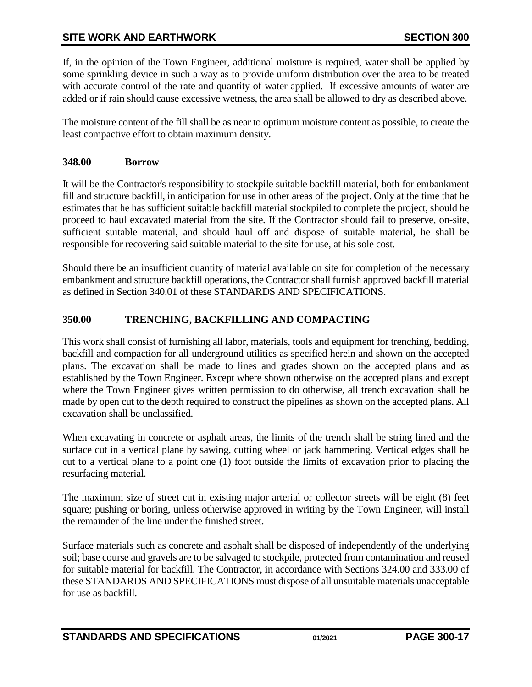If, in the opinion of the Town Engineer, additional moisture is required, water shall be applied by some sprinkling device in such a way as to provide uniform distribution over the area to be treated with accurate control of the rate and quantity of water applied. If excessive amounts of water are added or if rain should cause excessive wetness, the area shall be allowed to dry as described above.

The moisture content of the fill shall be as near to optimum moisture content as possible, to create the least compactive effort to obtain maximum density.

## <span id="page-16-0"></span>**348.00 Borrow**

It will be the Contractor's responsibility to stockpile suitable backfill material, both for embankment fill and structure backfill, in anticipation for use in other areas of the project. Only at the time that he estimates that he has sufficient suitable backfill material stockpiled to complete the project, should he proceed to haul excavated material from the site. If the Contractor should fail to preserve, on-site, sufficient suitable material, and should haul off and dispose of suitable material, he shall be responsible for recovering said suitable material to the site for use, at his sole cost.

Should there be an insufficient quantity of material available on site for completion of the necessary embankment and structure backfill operations, the Contractor shall furnish approved backfill material as defined in Section 340.01 of these STANDARDS AND SPECIFICATIONS.

## <span id="page-16-1"></span>**350.00 TRENCHING, BACKFILLING AND COMPACTING**

This work shall consist of furnishing all labor, materials, tools and equipment for trenching, bedding, backfill and compaction for all underground utilities as specified herein and shown on the accepted plans. The excavation shall be made to lines and grades shown on the accepted plans and as established by the Town Engineer. Except where shown otherwise on the accepted plans and except where the Town Engineer gives written permission to do otherwise, all trench excavation shall be made by open cut to the depth required to construct the pipelines as shown on the accepted plans. All excavation shall be unclassified.

When excavating in concrete or asphalt areas, the limits of the trench shall be string lined and the surface cut in a vertical plane by sawing, cutting wheel or jack hammering. Vertical edges shall be cut to a vertical plane to a point one (1) foot outside the limits of excavation prior to placing the resurfacing material.

The maximum size of street cut in existing major arterial or collector streets will be eight (8) feet square; pushing or boring, unless otherwise approved in writing by the Town Engineer, will install the remainder of the line under the finished street.

Surface materials such as concrete and asphalt shall be disposed of independently of the underlying soil; base course and gravels are to be salvaged to stockpile, protected from contamination and reused for suitable material for backfill. The Contractor, in accordance with Sections 324.00 and 333.00 of these STANDARDS AND SPECIFICATIONS must dispose of all unsuitable materials unacceptable for use as backfill.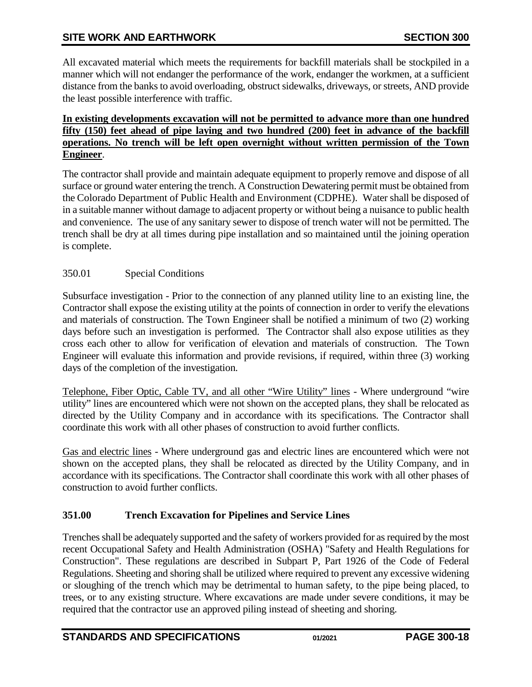All excavated material which meets the requirements for backfill materials shall be stockpiled in a manner which will not endanger the performance of the work, endanger the workmen, at a sufficient distance from the banks to avoid overloading, obstruct sidewalks, driveways, or streets, AND provide the least possible interference with traffic.

### **In existing developments excavation will not be permitted to advance more than one hundred fifty (150) feet ahead of pipe laying and two hundred (200) feet in advance of the backfill operations. No trench will be left open overnight without written permission of the Town Engineer**.

The contractor shall provide and maintain adequate equipment to properly remove and dispose of all surface or ground water entering the trench. A Construction Dewatering permit must be obtained from the Colorado Department of Public Health and Environment (CDPHE). Water shall be disposed of in a suitable manner without damage to adjacent property or without being a nuisance to public health and convenience. The use of any sanitary sewer to dispose of trench water will not be permitted. The trench shall be dry at all times during pipe installation and so maintained until the joining operation is complete.

# <span id="page-17-0"></span>350.01 Special Conditions

Subsurface investigation - Prior to the connection of any planned utility line to an existing line, the Contractor shall expose the existing utility at the points of connection in order to verify the elevations and materials of construction. The Town Engineer shall be notified a minimum of two (2) working days before such an investigation is performed. The Contractor shall also expose utilities as they cross each other to allow for verification of elevation and materials of construction. The Town Engineer will evaluate this information and provide revisions, if required, within three (3) working days of the completion of the investigation.

Telephone, Fiber Optic, Cable TV, and all other "Wire Utility" lines - Where underground "wire utility" lines are encountered which were not shown on the accepted plans, they shall be relocated as directed by the Utility Company and in accordance with its specifications. The Contractor shall coordinate this work with all other phases of construction to avoid further conflicts.

Gas and electric lines - Where underground gas and electric lines are encountered which were not shown on the accepted plans, they shall be relocated as directed by the Utility Company, and in accordance with its specifications. The Contractor shall coordinate this work with all other phases of construction to avoid further conflicts.

# <span id="page-17-1"></span>**351.00 Trench Excavation for Pipelines and Service Lines**

Trenches shall be adequately supported and the safety of workers provided for as required by the most recent Occupational Safety and Health Administration (OSHA) "Safety and Health Regulations for Construction". These regulations are described in Subpart P, Part 1926 of the Code of Federal Regulations. Sheeting and shoring shall be utilized where required to prevent any excessive widening or sloughing of the trench which may be detrimental to human safety, to the pipe being placed, to trees, or to any existing structure. Where excavations are made under severe conditions, it may be required that the contractor use an approved piling instead of sheeting and shoring.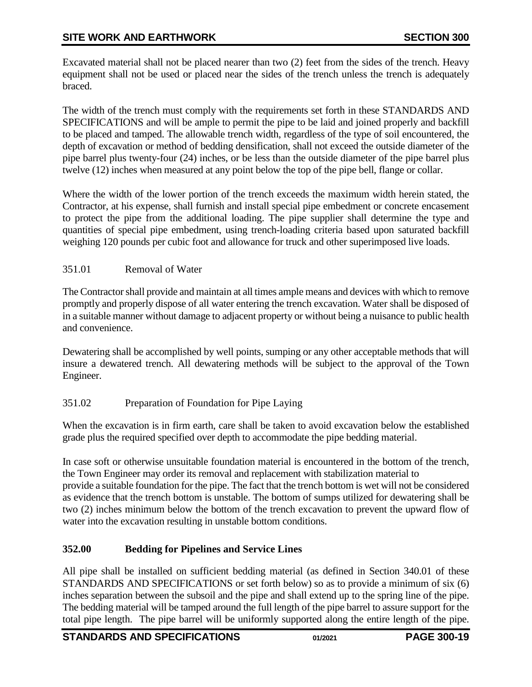Excavated material shall not be placed nearer than two (2) feet from the sides of the trench. Heavy equipment shall not be used or placed near the sides of the trench unless the trench is adequately braced.

The width of the trench must comply with the requirements set forth in these STANDARDS AND SPECIFICATIONS and will be ample to permit the pipe to be laid and joined properly and backfill to be placed and tamped. The allowable trench width, regardless of the type of soil encountered, the depth of excavation or method of bedding densification, shall not exceed the outside diameter of the pipe barrel plus twenty-four (24) inches, or be less than the outside diameter of the pipe barrel plus twelve (12) inches when measured at any point below the top of the pipe bell, flange or collar.

Where the width of the lower portion of the trench exceeds the maximum width herein stated, the Contractor, at his expense, shall furnish and install special pipe embedment or concrete encasement to protect the pipe from the additional loading. The pipe supplier shall determine the type and quantities of special pipe embedment, using trench-loading criteria based upon saturated backfill weighing 120 pounds per cubic foot and allowance for truck and other superimposed live loads.

### <span id="page-18-0"></span>351.01 Removal of Water

The Contractor shall provide and maintain at all times ample means and devices with which to remove promptly and properly dispose of all water entering the trench excavation. Water shall be disposed of in a suitable manner without damage to adjacent property or without being a nuisance to public health and convenience.

Dewatering shall be accomplished by well points, sumping or any other acceptable methods that will insure a dewatered trench. All dewatering methods will be subject to the approval of the Town Engineer.

# <span id="page-18-1"></span>351.02 Preparation of Foundation for Pipe Laying

When the excavation is in firm earth, care shall be taken to avoid excavation below the established grade plus the required specified over depth to accommodate the pipe bedding material.

In case soft or otherwise unsuitable foundation material is encountered in the bottom of the trench, the Town Engineer may order its removal and replacement with stabilization material to provide a suitable foundation for the pipe. The fact that the trench bottom is wet will not be considered as evidence that the trench bottom is unstable. The bottom of sumps utilized for dewatering shall be two (2) inches minimum below the bottom of the trench excavation to prevent the upward flow of water into the excavation resulting in unstable bottom conditions.

# <span id="page-18-2"></span>**352.00 Bedding for Pipelines and Service Lines**

All pipe shall be installed on sufficient bedding material (as defined in Section 340.01 of these STANDARDS AND SPECIFICATIONS or set forth below) so as to provide a minimum of six (6) inches separation between the subsoil and the pipe and shall extend up to the spring line of the pipe. The bedding material will be tamped around the full length of the pipe barrel to assure support for the total pipe length. The pipe barrel will be uniformly supported along the entire length of the pipe.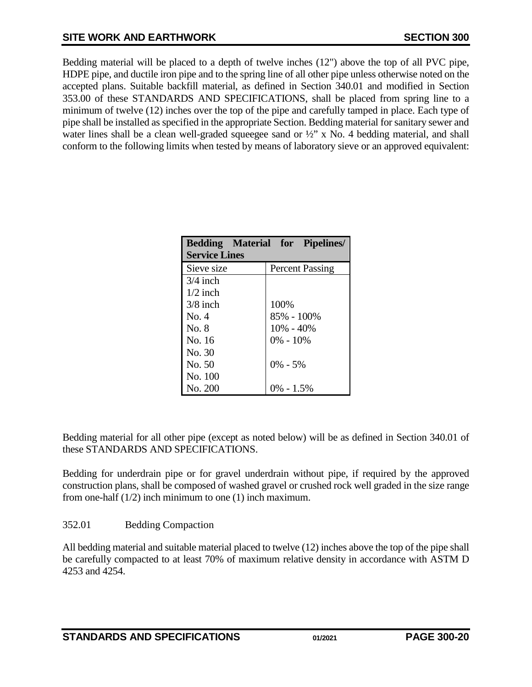# **SITE WORK AND EARTHWORK SECTION 300**

Bedding material will be placed to a depth of twelve inches (12") above the top of all PVC pipe, HDPE pipe, and ductile iron pipe and to the spring line of all other pipe unless otherwise noted on the accepted plans. Suitable backfill material, as defined in Section 340.01 and modified in Section 353.00 of these STANDARDS AND SPECIFICATIONS, shall be placed from spring line to a minimum of twelve (12) inches over the top of the pipe and carefully tamped in place. Each type of pipe shall be installed as specified in the appropriate Section. Bedding material for sanitary sewer and water lines shall be a clean well-graded squeegee sand or  $\frac{1}{2}$  x No. 4 bedding material, and shall conform to the following limits when tested by means of laboratory sieve or an approved equivalent:

|                      | <b>Bedding Material for Pipelines/</b> |  |  |  |  |
|----------------------|----------------------------------------|--|--|--|--|
| <b>Service Lines</b> |                                        |  |  |  |  |
| Sieve size           | <b>Percent Passing</b>                 |  |  |  |  |
| $3/4$ inch           |                                        |  |  |  |  |
| $1/2$ inch           |                                        |  |  |  |  |
| $3/8$ inch           | 100%                                   |  |  |  |  |
| No. 4                | 85% - 100%                             |  |  |  |  |
| No. 8                | $10\% - 40\%$                          |  |  |  |  |
| No. 16               | $0\% - 10\%$                           |  |  |  |  |
| No. 30               |                                        |  |  |  |  |
| No. 50               | $0\% - 5\%$                            |  |  |  |  |
| No. 100              |                                        |  |  |  |  |
| No. 200              | 0% - 1.5%                              |  |  |  |  |

Bedding material for all other pipe (except as noted below) will be as defined in Section 340.01 of these STANDARDS AND SPECIFICATIONS.

Bedding for underdrain pipe or for gravel underdrain without pipe, if required by the approved construction plans, shall be composed of washed gravel or crushed rock well graded in the size range from one-half (1/2) inch minimum to one (1) inch maximum.

### <span id="page-19-0"></span>352.01 Bedding Compaction

All bedding material and suitable material placed to twelve (12) inches above the top of the pipe shall be carefully compacted to at least 70% of maximum relative density in accordance with ASTM D 4253 and 4254.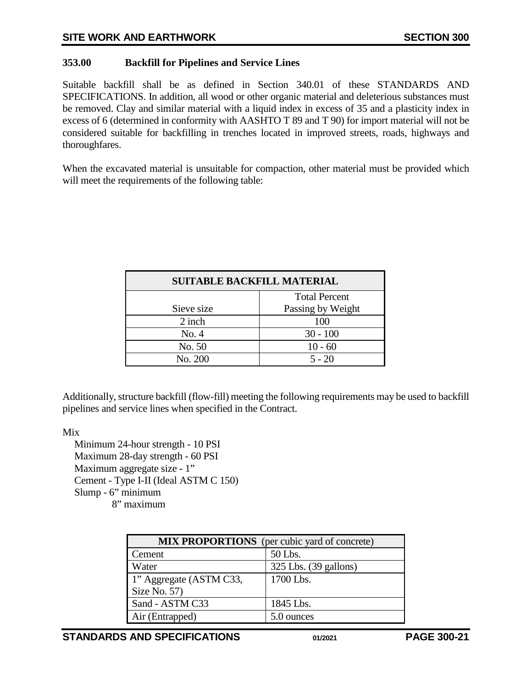## <span id="page-20-0"></span>**353.00 Backfill for Pipelines and Service Lines**

Suitable backfill shall be as defined in Section 340.01 of these STANDARDS AND SPECIFICATIONS. In addition, all wood or other organic material and deleterious substances must be removed. Clay and similar material with a liquid index in excess of 35 and a plasticity index in excess of 6 (determined in conformity with AASHTO T 89 and T 90) for import material will not be considered suitable for backfilling in trenches located in improved streets, roads, highways and thoroughfares.

When the excavated material is unsuitable for compaction, other material must be provided which will meet the requirements of the following table:

| <b>SUITABLE BACKFILL MATERIAL</b> |                      |  |
|-----------------------------------|----------------------|--|
|                                   | <b>Total Percent</b> |  |
| Sieve size                        | Passing by Weight    |  |
| 2 inch                            | 100                  |  |
| No. 4                             | $30 - 100$           |  |
| No. 50                            | $10 - 60$            |  |
| No. 200                           | $5 - 20$             |  |

Additionally, structure backfill (flow-fill) meeting the following requirements may be used to backfill pipelines and service lines when specified in the Contract.

Mix

Minimum 24-hour strength - 10 PSI Maximum 28-day strength - 60 PSI Maximum aggregate size - 1" Cement - Type I-II (Ideal ASTM C 150) Slump - 6" minimum 8" maximum

| <b>MIX PROPORTIONS</b> (per cubic yard of concrete) |                       |  |  |
|-----------------------------------------------------|-----------------------|--|--|
| Cement                                              | 50 Lbs.               |  |  |
| Water                                               | 325 Lbs. (39 gallons) |  |  |
| 1" Aggregate (ASTM C33,                             | 1700 Lbs.             |  |  |
| Size No. 57)                                        |                       |  |  |
| Sand - ASTM C33                                     | 1845 Lbs.             |  |  |
| Air (Entrapped)                                     | 5.0 ounces            |  |  |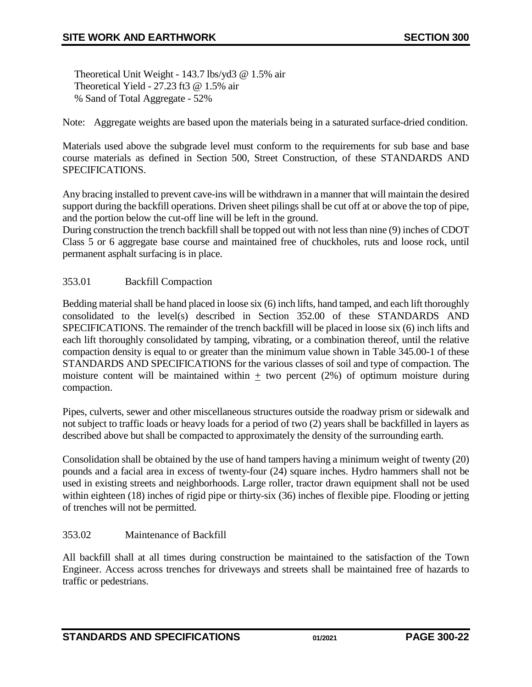Theoretical Unit Weight - 143.7 lbs/yd3 @ 1.5% air Theoretical Yield - 27.23 ft3 @ 1.5% air % Sand of Total Aggregate - 52%

Note: Aggregate weights are based upon the materials being in a saturated surface-dried condition.

Materials used above the subgrade level must conform to the requirements for sub base and base course materials as defined in Section 500, Street Construction, of these STANDARDS AND SPECIFICATIONS.

Any bracing installed to prevent cave-ins will be withdrawn in a manner that will maintain the desired support during the backfill operations. Driven sheet pilings shall be cut off at or above the top of pipe, and the portion below the cut-off line will be left in the ground.

During construction the trench backfill shall be topped out with not less than nine (9) inches of CDOT Class 5 or 6 aggregate base course and maintained free of chuckholes, ruts and loose rock, until permanent asphalt surfacing is in place.

### <span id="page-21-0"></span>353.01 Backfill Compaction

Bedding material shall be hand placed in loose six (6) inch lifts, hand tamped, and each lift thoroughly consolidated to the level(s) described in Section 352.00 of these STANDARDS AND SPECIFICATIONS. The remainder of the trench backfill will be placed in loose six (6) inch lifts and each lift thoroughly consolidated by tamping, vibrating, or a combination thereof, until the relative compaction density is equal to or greater than the minimum value shown in Table 345.00-1 of these STANDARDS AND SPECIFICATIONS for the various classes of soil and type of compaction. The moisture content will be maintained within  $\pm$  two percent (2%) of optimum moisture during compaction.

Pipes, culverts, sewer and other miscellaneous structures outside the roadway prism or sidewalk and not subject to traffic loads or heavy loads for a period of two (2) years shall be backfilled in layers as described above but shall be compacted to approximately the density of the surrounding earth.

Consolidation shall be obtained by the use of hand tampers having a minimum weight of twenty (20) pounds and a facial area in excess of twenty-four (24) square inches. Hydro hammers shall not be used in existing streets and neighborhoods. Large roller, tractor drawn equipment shall not be used within eighteen (18) inches of rigid pipe or thirty-six (36) inches of flexible pipe. Flooding or jetting of trenches will not be permitted.

### <span id="page-21-1"></span>353.02 Maintenance of Backfill

All backfill shall at all times during construction be maintained to the satisfaction of the Town Engineer. Access across trenches for driveways and streets shall be maintained free of hazards to traffic or pedestrians.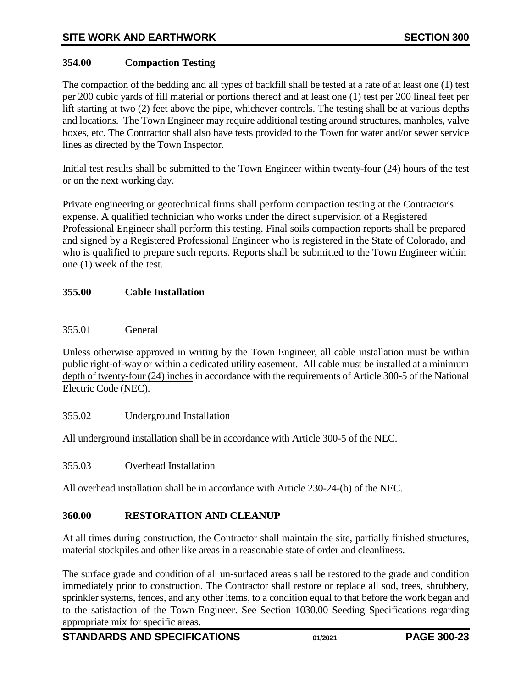## <span id="page-22-0"></span>**354.00 Compaction Testing**

The compaction of the bedding and all types of backfill shall be tested at a rate of at least one (1) test per 200 cubic yards of fill material or portions thereof and at least one (1) test per 200 lineal feet per lift starting at two (2) feet above the pipe, whichever controls. The testing shall be at various depths and locations. The Town Engineer may require additional testing around structures, manholes, valve boxes, etc. The Contractor shall also have tests provided to the Town for water and/or sewer service lines as directed by the Town Inspector.

Initial test results shall be submitted to the Town Engineer within twenty-four (24) hours of the test or on the next working day.

Private engineering or geotechnical firms shall perform compaction testing at the Contractor's expense. A qualified technician who works under the direct supervision of a Registered Professional Engineer shall perform this testing. Final soils compaction reports shall be prepared and signed by a Registered Professional Engineer who is registered in the State of Colorado, and who is qualified to prepare such reports. Reports shall be submitted to the Town Engineer within one (1) week of the test.

### <span id="page-22-1"></span>**355.00 Cable Installation**

#### <span id="page-22-2"></span>355.01 General

Unless otherwise approved in writing by the Town Engineer, all cable installation must be within public right-of-way or within a dedicated utility easement. All cable must be installed at a minimum depth of twenty-four (24) inches in accordance with the requirements of Article 300-5 of the National Electric Code (NEC).

<span id="page-22-3"></span>355.02 Underground Installation

<span id="page-22-4"></span>All underground installation shall be in accordance with Article 300-5 of the NEC.

355.03 Overhead Installation

<span id="page-22-5"></span>All overhead installation shall be in accordance with Article 230-24-(b) of the NEC.

### **360.00 RESTORATION AND CLEANUP**

At all times during construction, the Contractor shall maintain the site, partially finished structures, material stockpiles and other like areas in a reasonable state of order and cleanliness.

The surface grade and condition of all un-surfaced areas shall be restored to the grade and condition immediately prior to construction. The Contractor shall restore or replace all sod, trees, shrubbery, sprinkler systems, fences, and any other items, to a condition equal to that before the work began and to the satisfaction of the Town Engineer. See Section 1030.00 Seeding Specifications regarding appropriate mix for specific areas.